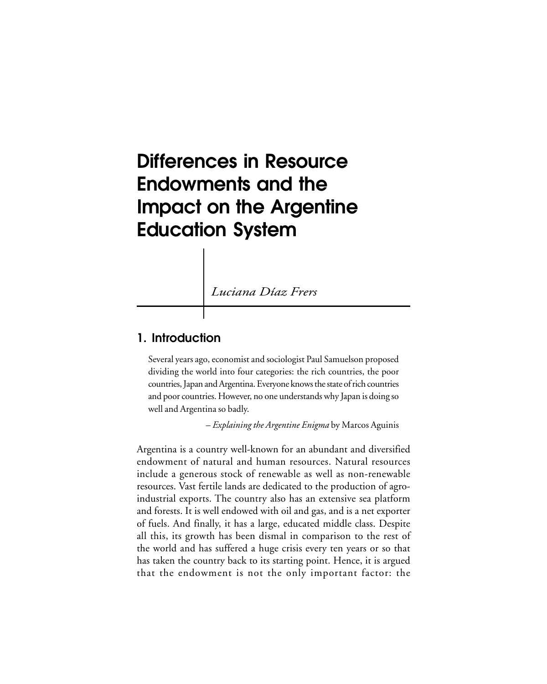# **Differences in Resource Endowments and the Impact on the Argentine Education System**

*Luciana Díaz Frers*

## **1. Introduction**

Several years ago, economist and sociologist Paul Samuelson proposed dividing the world into four categories: the rich countries, the poor countries, Japan and Argentina. Everyone knows the state of rich countries and poor countries. However, no one understands why Japan is doing so well and Argentina so badly.

– *Explaining the Argentine Enigma* by Marcos Aguinis

Argentina is a country well-known for an abundant and diversified endowment of natural and human resources. Natural resources include a generous stock of renewable as well as non-renewable resources. Vast fertile lands are dedicated to the production of agroindustrial exports. The country also has an extensive sea platform and forests. It is well endowed with oil and gas, and is a net exporter of fuels. And finally, it has a large, educated middle class. Despite all this, its growth has been dismal in comparison to the rest of the world and has suffered a huge crisis every ten years or so that has taken the country back to its starting point. Hence, it is argued that the endowment is not the only important factor: the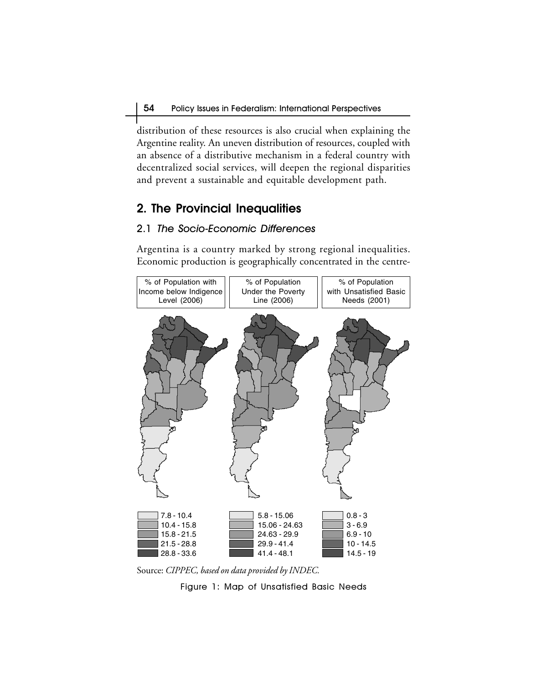distribution of these resources is also crucial when explaining the Argentine reality. An uneven distribution of resources, coupled with an absence of a distributive mechanism in a federal country with decentralized social services, will deepen the regional disparities and prevent a sustainable and equitable development path.

# **2. The Provincial Inequalities**

#### 2.1 The Socio-Economic Differences

Argentina is a country marked by strong regional inequalities. Economic production is geographically concentrated in the centre-



Source: *CIPPEC, based on data provided by INDEC.*

Figure 1: Map of Unsatisfied Basic Needs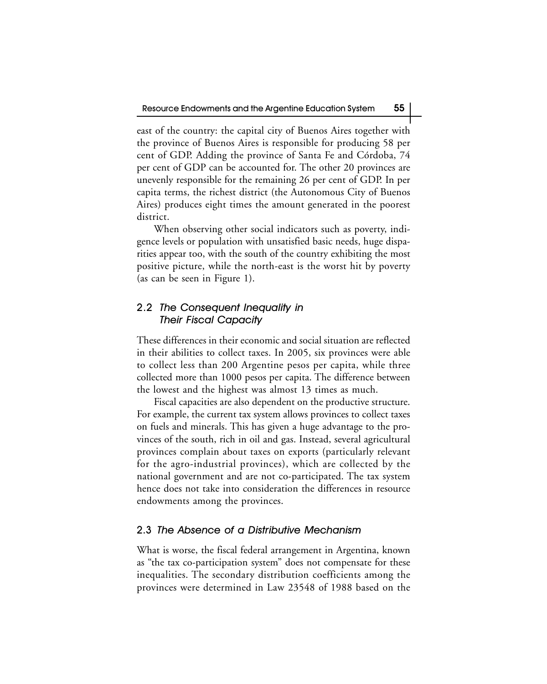east of the country: the capital city of Buenos Aires together with the province of Buenos Aires is responsible for producing 58 per cent of GDP. Adding the province of Santa Fe and Córdoba, 74 per cent of GDP can be accounted for. The other 20 provinces are unevenly responsible for the remaining 26 per cent of GDP. In per capita terms, the richest district (the Autonomous City of Buenos Aires) produces eight times the amount generated in the poorest district.

When observing other social indicators such as poverty, indigence levels or population with unsatisfied basic needs, huge disparities appear too, with the south of the country exhibiting the most positive picture, while the north-east is the worst hit by poverty (as can be seen in Figure 1).

### 2.2 The Consequent Inequality in Their Fiscal Capacity

These differences in their economic and social situation are reflected in their abilities to collect taxes. In 2005, six provinces were able to collect less than 200 Argentine pesos per capita, while three collected more than 1000 pesos per capita. The difference between the lowest and the highest was almost 13 times as much.

Fiscal capacities are also dependent on the productive structure. For example, the current tax system allows provinces to collect taxes on fuels and minerals. This has given a huge advantage to the provinces of the south, rich in oil and gas. Instead, several agricultural provinces complain about taxes on exports (particularly relevant for the agro-industrial provinces), which are collected by the national government and are not co-participated. The tax system hence does not take into consideration the differences in resource endowments among the provinces.

#### 2.3 The Absence of a Distributive Mechanism

What is worse, the fiscal federal arrangement in Argentina, known as "the tax co-participation system" does not compensate for these inequalities. The secondary distribution coefficients among the provinces were determined in Law 23548 of 1988 based on the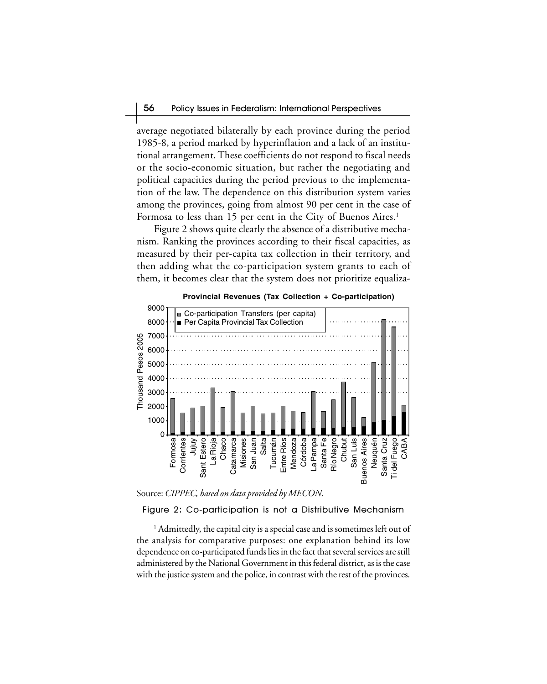average negotiated bilaterally by each province during the period 1985-8, a period marked by hyperinflation and a lack of an institutional arrangement. These coefficients do not respond to fiscal needs or the socio-economic situation, but rather the negotiating and political capacities during the period previous to the implementation of the law. The dependence on this distribution system varies among the provinces, going from almost 90 per cent in the case of Formosa to less than 15 per cent in the City of Buenos Aires.<sup>1</sup>

Figure 2 shows quite clearly the absence of a distributive mechanism. Ranking the provinces according to their fiscal capacities, as measured by their per-capita tax collection in their territory, and then adding what the co-participation system grants to each of them, it becomes clear that the system does not prioritize equaliza-



Source: *CIPPEC, based on data provided by MECON.*

Figure 2: Co-participation is not a Distributive Mechanism

 $^{\rm 1}$  Admittedly, the capital city is a special case and is sometimes left out of the analysis for comparative purposes: one explanation behind its low dependence on co-participated funds lies in the fact that several services are still administered by the National Government in this federal district, as is the case with the justice system and the police, in contrast with the rest of the provinces.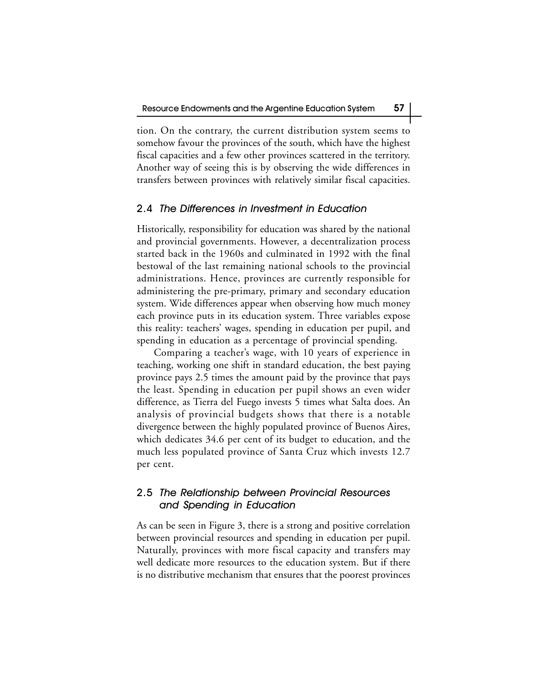tion. On the contrary, the current distribution system seems to somehow favour the provinces of the south, which have the highest fiscal capacities and a few other provinces scattered in the territory. Another way of seeing this is by observing the wide differences in transfers between provinces with relatively similar fiscal capacities.

#### 2.4 The Differences in Investment in Education

Historically, responsibility for education was shared by the national and provincial governments. However, a decentralization process started back in the 1960s and culminated in 1992 with the final bestowal of the last remaining national schools to the provincial administrations. Hence, provinces are currently responsible for administering the pre-primary, primary and secondary education system. Wide differences appear when observing how much money each province puts in its education system. Three variables expose this reality: teachers' wages, spending in education per pupil, and spending in education as a percentage of provincial spending.

Comparing a teacher's wage, with 10 years of experience in teaching, working one shift in standard education, the best paying province pays 2.5 times the amount paid by the province that pays the least. Spending in education per pupil shows an even wider difference, as Tierra del Fuego invests 5 times what Salta does. An analysis of provincial budgets shows that there is a notable divergence between the highly populated province of Buenos Aires, which dedicates 34.6 per cent of its budget to education, and the much less populated province of Santa Cruz which invests 12.7 per cent.

## 2.5 The Relationship between Provincial Resources and Spending in Education

As can be seen in Figure 3, there is a strong and positive correlation between provincial resources and spending in education per pupil. Naturally, provinces with more fiscal capacity and transfers may well dedicate more resources to the education system. But if there is no distributive mechanism that ensures that the poorest provinces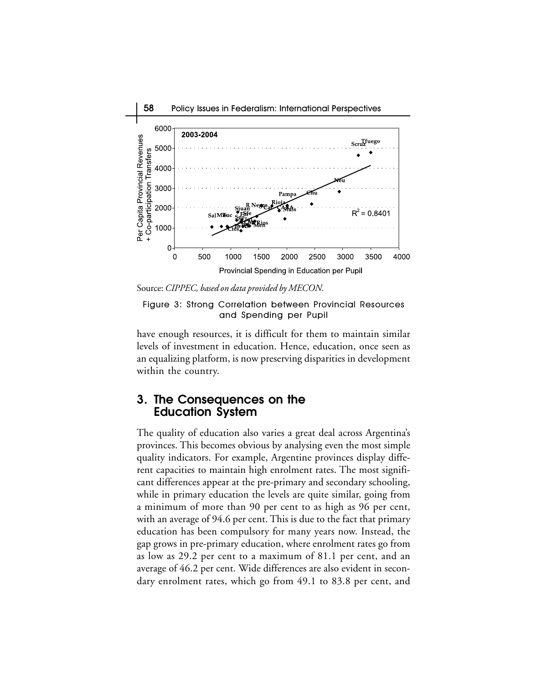

Source: *CIPPEC, based on data provided by MECON.*

Figure 3: Strong Correlation between Provincial Resources and Spending per Pupil

have enough resources, it is difficult for them to maintain similar levels of investment in education. Hence, education, once seen as an equalizing platform, is now preserving disparities in development within the country.

## **3. The Consequences on the Education System**

The quality of education also varies a great deal across Argentina's provinces. This becomes obvious by analysing even the most simple quality indicators. For example, Argentine provinces display different capacities to maintain high enrolment rates. The most significant differences appear at the pre-primary and secondary schooling, while in primary education the levels are quite similar, going from a minimum of more than 90 per cent to as high as 96 per cent, with an average of 94.6 per cent. This is due to the fact that primary education has been compulsory for many years now. Instead, the gap grows in pre-primary education, where enrolment rates go from as low as 29.2 per cent to a maximum of 81.1 per cent, and an average of 46.2 per cent. Wide differences are also evident in secondary enrolment rates, which go from 49.1 to 83.8 per cent, and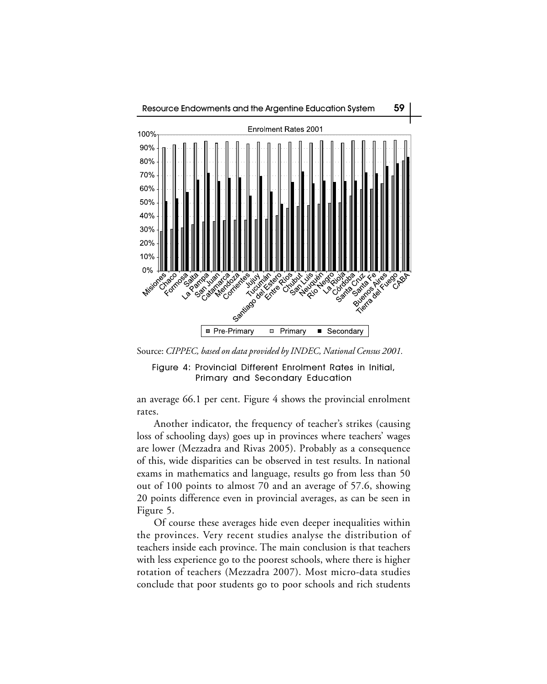

Source: *CIPPEC, based on data provided by INDEC, National Census 2001.*

Figure 4: Provincial Different Enrolment Rates in Initial, Primary and Secondary Education

an average 66.1 per cent. Figure 4 shows the provincial enrolment rates.

Another indicator, the frequency of teacher's strikes (causing loss of schooling days) goes up in provinces where teachers' wages are lower (Mezzadra and Rivas 2005). Probably as a consequence of this, wide disparities can be observed in test results. In national exams in mathematics and language, results go from less than 50 out of 100 points to almost 70 and an average of 57.6, showing 20 points difference even in provincial averages, as can be seen in Figure 5.

Of course these averages hide even deeper inequalities within the provinces. Very recent studies analyse the distribution of teachers inside each province. The main conclusion is that teachers with less experience go to the poorest schools, where there is higher rotation of teachers (Mezzadra 2007). Most micro-data studies conclude that poor students go to poor schools and rich students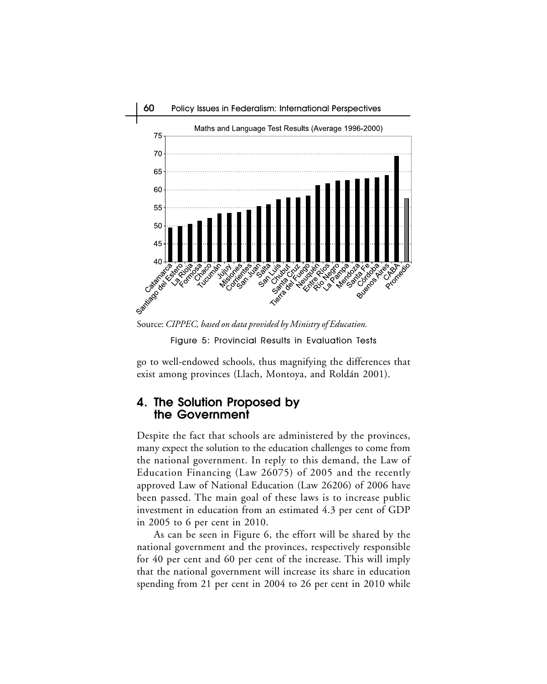

Figure 5: Provincial Results in Evaluation Tests

go to well-endowed schools, thus magnifying the differences that exist among provinces (Llach, Montoya, and Roldán 2001).

## **4. The Solution Proposed by the Government**

Despite the fact that schools are administered by the provinces, many expect the solution to the education challenges to come from the national government. In reply to this demand, the Law of Education Financing (Law 26075) of 2005 and the recently approved Law of National Education (Law 26206) of 2006 have been passed. The main goal of these laws is to increase public investment in education from an estimated 4.3 per cent of GDP in 2005 to 6 per cent in 2010.

As can be seen in Figure 6, the effort will be shared by the national government and the provinces, respectively responsible for 40 per cent and 60 per cent of the increase. This will imply that the national government will increase its share in education spending from 21 per cent in 2004 to 26 per cent in 2010 while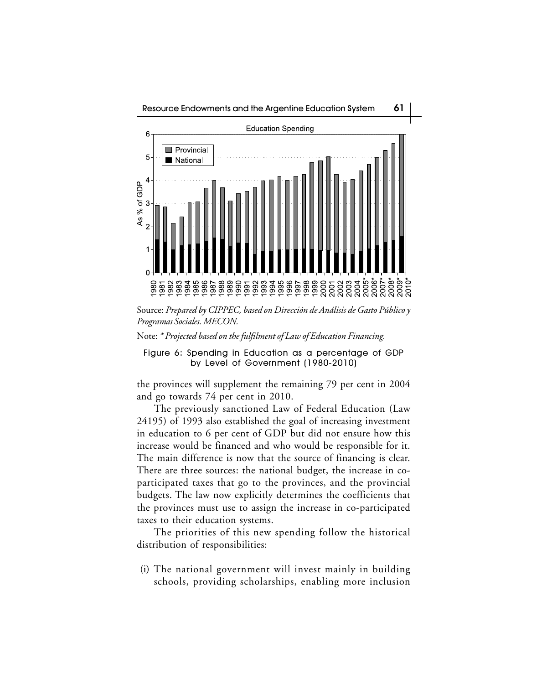

Source: *Prepared by CIPPEC, based on Dirección de Análisis de Gasto Público y Programas Sociales. MECON.*

Note: *\* Projected based on the fulfilment of Law of Education Financing.*

Figure 6: Spending in Education as a percentage of GDP by Level of Government (1980-2010)

the provinces will supplement the remaining 79 per cent in 2004 and go towards 74 per cent in 2010.

The previously sanctioned Law of Federal Education (Law 24195) of 1993 also established the goal of increasing investment in education to 6 per cent of GDP but did not ensure how this increase would be financed and who would be responsible for it. The main difference is now that the source of financing is clear. There are three sources: the national budget, the increase in coparticipated taxes that go to the provinces, and the provincial budgets. The law now explicitly determines the coefficients that the provinces must use to assign the increase in co-participated taxes to their education systems.

The priorities of this new spending follow the historical distribution of responsibilities:

 (i) The national government will invest mainly in building schools, providing scholarships, enabling more inclusion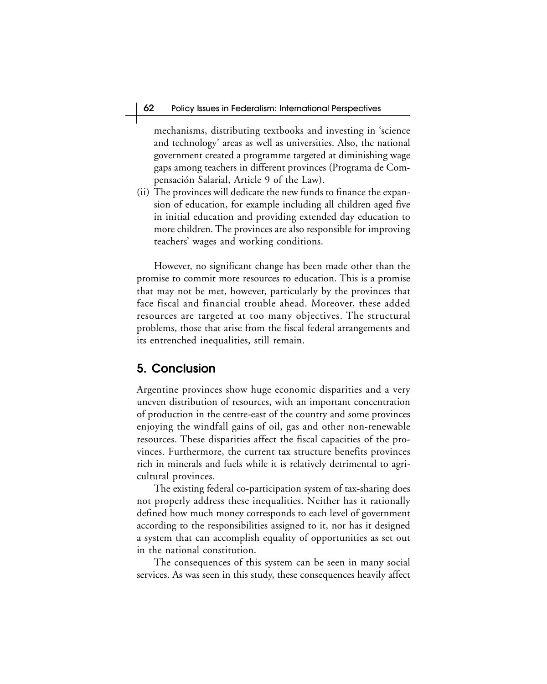mechanisms, distributing textbooks and investing in 'science and technology' areas as well as universities. Also, the national government created a programme targeted at diminishing wage gaps among teachers in different provinces (Programa de Compensación Salarial, Article 9 of the Law).

(ii) The provinces will dedicate the new funds to finance the expansion of education, for example including all children aged five in initial education and providing extended day education to more children. The provinces are also responsible for improving teachers' wages and working conditions.

However, no significant change has been made other than the promise to commit more resources to education. This is a promise that may not be met, however, particularly by the provinces that face fiscal and financial trouble ahead. Moreover, these added resources are targeted at too many objectives. The structural problems, those that arise from the fiscal federal arrangements and its entrenched inequalities, still remain.

## **5. Conclusion**

Argentine provinces show huge economic disparities and a very uneven distribution of resources, with an important concentration of production in the centre-east of the country and some provinces enjoying the windfall gains of oil, gas and other non-renewable resources. These disparities affect the fiscal capacities of the provinces. Furthermore, the current tax structure benefits provinces rich in minerals and fuels while it is relatively detrimental to agricultural provinces.

The existing federal co-participation system of tax-sharing does not properly address these inequalities. Neither has it rationally defined how much money corresponds to each level of government according to the responsibilities assigned to it, nor has it designed a system that can accomplish equality of opportunities as set out in the national constitution.

The consequences of this system can be seen in many social services. As was seen in this study, these consequences heavily affect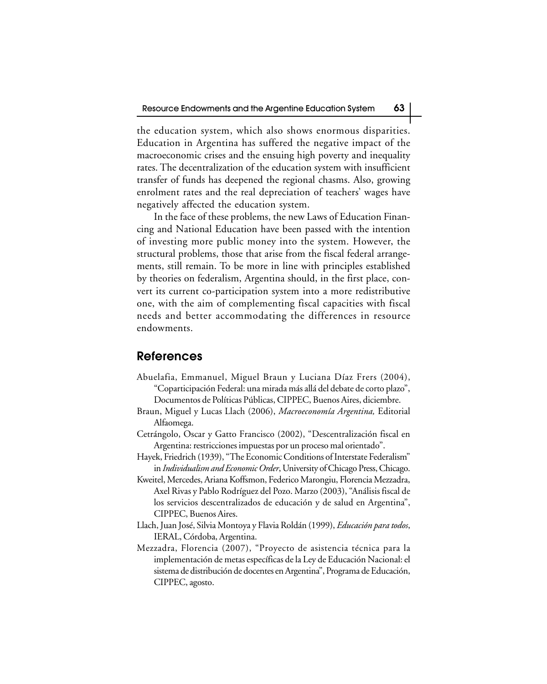the education system, which also shows enormous disparities. Education in Argentina has suffered the negative impact of the macroeconomic crises and the ensuing high poverty and inequality rates. The decentralization of the education system with insufficient transfer of funds has deepened the regional chasms. Also, growing enrolment rates and the real depreciation of teachers' wages have negatively affected the education system.

In the face of these problems, the new Laws of Education Financing and National Education have been passed with the intention of investing more public money into the system. However, the structural problems, those that arise from the fiscal federal arrangements, still remain. To be more in line with principles established by theories on federalism, Argentina should, in the first place, convert its current co-participation system into a more redistributive one, with the aim of complementing fiscal capacities with fiscal needs and better accommodating the differences in resource endowments.

#### **References**

- Abuelafia, Emmanuel, Miguel Braun y Luciana Díaz Frers (2004), "Coparticipación Federal: una mirada más allá del debate de corto plazo", Documentos de Políticas Públicas, CIPPEC, Buenos Aires, diciembre.
- Braun, Miguel y Lucas Llach (2006), *Macroeconomía Argentina,* Editorial Alfaomega.
- Cetrángolo, Oscar y Gatto Francisco (2002), "Descentralización fiscal en Argentina: restricciones impuestas por un proceso mal orientado".
- Hayek, Friedrich (1939), "The Economic Conditions of Interstate Federalism" in *Individualism and Economic Order*, University of Chicago Press, Chicago.
- Kweitel, Mercedes, Ariana Koffsmon, Federico Marongiu, Florencia Mezzadra, Axel Rivas y Pablo Rodríguez del Pozo. Marzo (2003), "Análisis fiscal de los servicios descentralizados de educación y de salud en Argentina", CIPPEC, Buenos Aires.
- Llach, Juan José, Silvia Montoya y Flavia Roldán (1999), *Educación para todos*, IERAL, Córdoba, Argentina.
- Mezzadra, Florencia (2007), "Proyecto de asistencia técnica para la implementación de metas específicas de la Ley de Educación Nacional: el sistema de distribución de docentes en Argentina", Programa de Educación, CIPPEC, agosto.